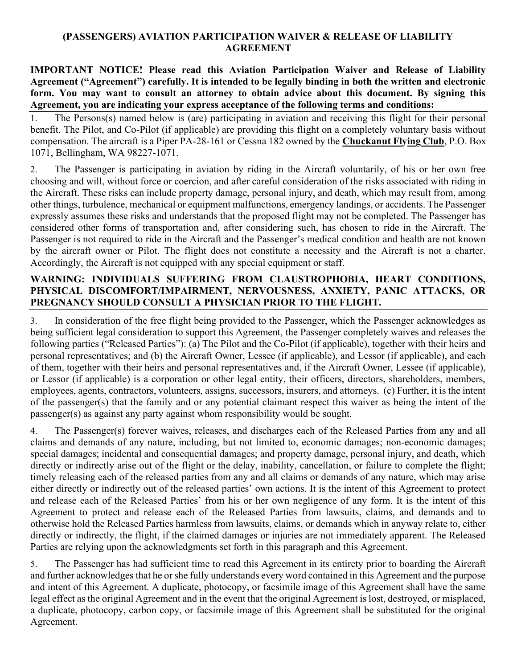## (PASSENGERS) AVIATION PARTICIPATION WAIVER & RELEASE OF LIABILITY **AGREEMENT**

IMPORTANT NOTICE! Please read this Aviation Participation Waiver and Release of Liability Agreement ("Agreement") carefully. It is intended to be legally binding in both the written and electronic form. You may want to consult an attorney to obtain advice about this document. By signing this Agreement, you are indicating your express acceptance of the following terms and conditions:

1. The Persons(s) named below is (are) participating in aviation and receiving this flight for their personal benefit. The Pilot, and Co-Pilot (if applicable) are providing this flight on a completely voluntary basis without compensation. The aircraft is a Piper PA-28-161 or Cessna 182 owned by the Chuckanut Flying Club, P.O. Box 1071, Bellingham, WA 98227-1071.

2. The Passenger is participating in aviation by riding in the Aircraft voluntarily, of his or her own free choosing and will, without force or coercion, and after careful consideration of the risks associated with riding in the Aircraft. These risks can include property damage, personal injury, and death, which may result from, among other things, turbulence, mechanical or equipment malfunctions, emergency landings, or accidents. The Passenger expressly assumes these risks and understands that the proposed flight may not be completed. The Passenger has considered other forms of transportation and, after considering such, has chosen to ride in the Aircraft. The Passenger is not required to ride in the Aircraft and the Passenger's medical condition and health are not known by the aircraft owner or Pilot. The flight does not constitute a necessity and the Aircraft is not a charter. Accordingly, the Aircraft is not equipped with any special equipment or staff.

## WARNING: INDIVIDUALS SUFFERING FROM CLAUSTROPHOBIA, HEART CONDITIONS, PHYSICAL DISCOMFORT/IMPAIRMENT, NERVOUSNESS, ANXIETY, PANIC ATTACKS, OR PREGNANCY SHOULD CONSULT A PHYSICIAN PRIOR TO THE FLIGHT.

3. In consideration of the free flight being provided to the Passenger, which the Passenger acknowledges as being sufficient legal consideration to support this Agreement, the Passenger completely waives and releases the following parties ("Released Parties"): (a) The Pilot and the Co-Pilot (if applicable), together with their heirs and personal representatives; and (b) the Aircraft Owner, Lessee (if applicable), and Lessor (if applicable), and each of them, together with their heirs and personal representatives and, if the Aircraft Owner, Lessee (if applicable), or Lessor (if applicable) is a corporation or other legal entity, their officers, directors, shareholders, members, employees, agents, contractors, volunteers, assigns, successors, insurers, and attorneys. (c) Further, it is the intent of the passenger(s) that the family and or any potential claimant respect this waiver as being the intent of the passenger(s) as against any party against whom responsibility would be sought.

4. The Passenger(s) forever waives, releases, and discharges each of the Released Parties from any and all claims and demands of any nature, including, but not limited to, economic damages; non-economic damages; special damages; incidental and consequential damages; and property damage, personal injury, and death, which directly or indirectly arise out of the flight or the delay, inability, cancellation, or failure to complete the flight; timely releasing each of the released parties from any and all claims or demands of any nature, which may arise either directly or indirectly out of the released parties' own actions. It is the intent of this Agreement to protect and release each of the Released Parties' from his or her own negligence of any form. It is the intent of this Agreement to protect and release each of the Released Parties from lawsuits, claims, and demands and to otherwise hold the Released Parties harmless from lawsuits, claims, or demands which in anyway relate to, either directly or indirectly, the flight, if the claimed damages or injuries are not immediately apparent. The Released Parties are relying upon the acknowledgments set forth in this paragraph and this Agreement.

5. The Passenger has had sufficient time to read this Agreement in its entirety prior to boarding the Aircraft and further acknowledges that he or she fully understands every word contained in this Agreement and the purpose and intent of this Agreement. A duplicate, photocopy, or facsimile image of this Agreement shall have the same legal effect as the original Agreement and in the event that the original Agreement is lost, destroyed, or misplaced, a duplicate, photocopy, carbon copy, or facsimile image of this Agreement shall be substituted for the original Agreement.